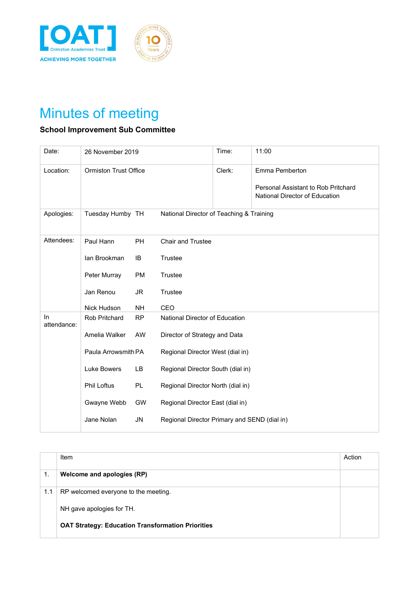



## Minutes of meeting

## **School Improvement Sub Committee**

| Date:             | 26 November 2019             |           |                                              | Time:  | 11:00                                                                                   |
|-------------------|------------------------------|-----------|----------------------------------------------|--------|-----------------------------------------------------------------------------------------|
| Location:         | <b>Ormiston Trust Office</b> |           |                                              | Clerk: | Emma Pemberton<br>Personal Assistant to Rob Pritchard<br>National Director of Education |
| Apologies:        | Tuesday Humby TH             |           | National Director of Teaching & Training     |        |                                                                                         |
| Attendees:        | Paul Hann                    | PH        | <b>Chair and Trustee</b>                     |        |                                                                                         |
|                   | lan Brookman                 | IB        | Trustee                                      |        |                                                                                         |
|                   | Peter Murray                 | <b>PM</b> | Trustee                                      |        |                                                                                         |
|                   | Jan Renou                    | <b>JR</b> | Trustee                                      |        |                                                                                         |
|                   | Nick Hudson                  | <b>NH</b> | CEO                                          |        |                                                                                         |
| In<br>attendance: | Rob Pritchard                | <b>RP</b> | National Director of Education               |        |                                                                                         |
|                   | Amelia Walker                | <b>AW</b> | Director of Strategy and Data                |        |                                                                                         |
|                   | Paula Arrowsmith PA          |           | Regional Director West (dial in)             |        |                                                                                         |
|                   | Luke Bowers                  | LB        | Regional Director South (dial in)            |        |                                                                                         |
|                   | <b>Phil Loftus</b>           | PL        | Regional Director North (dial in)            |        |                                                                                         |
|                   | Gwayne Webb                  | GW        | Regional Director East (dial in)             |        |                                                                                         |
|                   | Jane Nolan                   | <b>JN</b> | Regional Director Primary and SEND (dial in) |        |                                                                                         |

|     | Item                                                     | Action |
|-----|----------------------------------------------------------|--------|
| 1.  | Welcome and apologies (RP)                               |        |
| 1.1 | RP welcomed everyone to the meeting.                     |        |
|     | NH gave apologies for TH.                                |        |
|     | <b>OAT Strategy: Education Transformation Priorities</b> |        |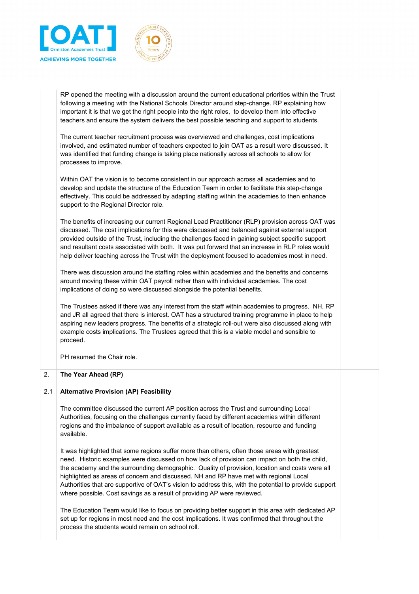

|     | RP opened the meeting with a discussion around the current educational priorities within the Trust<br>following a meeting with the National Schools Director around step-change. RP explaining how<br>important it is that we get the right people into the right roles, to develop them into effective<br>teachers and ensure the system delivers the best possible teaching and support to students.                                                                                                                                                                         |  |
|-----|--------------------------------------------------------------------------------------------------------------------------------------------------------------------------------------------------------------------------------------------------------------------------------------------------------------------------------------------------------------------------------------------------------------------------------------------------------------------------------------------------------------------------------------------------------------------------------|--|
|     | The current teacher recruitment process was overviewed and challenges, cost implications<br>involved, and estimated number of teachers expected to join OAT as a result were discussed. It<br>was identified that funding change is taking place nationally across all schools to allow for<br>processes to improve.                                                                                                                                                                                                                                                           |  |
|     | Within OAT the vision is to become consistent in our approach across all academies and to<br>develop and update the structure of the Education Team in order to facilitate this step-change<br>effectively. This could be addressed by adapting staffing within the academies to then enhance<br>support to the Regional Director role.                                                                                                                                                                                                                                        |  |
|     | The benefits of increasing our current Regional Lead Practitioner (RLP) provision across OAT was<br>discussed. The cost implications for this were discussed and balanced against external support<br>provided outside of the Trust, including the challenges faced in gaining subject specific support<br>and resultant costs associated with both. It was put forward that an increase in RLP roles would<br>help deliver teaching across the Trust with the deployment focused to academies most in need.                                                                   |  |
|     | There was discussion around the staffing roles within academies and the benefits and concerns<br>around moving these within OAT payroll rather than with individual academies. The cost<br>implications of doing so were discussed alongside the potential benefits.                                                                                                                                                                                                                                                                                                           |  |
|     | The Trustees asked if there was any interest from the staff within academies to progress. NH, RP<br>and JR all agreed that there is interest. OAT has a structured training programme in place to help<br>aspiring new leaders progress. The benefits of a strategic roll-out were also discussed along with<br>example costs implications. The Trustees agreed that this is a viable model and sensible to<br>proceed.                                                                                                                                                        |  |
|     | PH resumed the Chair role.                                                                                                                                                                                                                                                                                                                                                                                                                                                                                                                                                     |  |
| 2.  | The Year Ahead (RP)                                                                                                                                                                                                                                                                                                                                                                                                                                                                                                                                                            |  |
| 2.1 | <b>Alternative Provision (AP) Feasibility</b>                                                                                                                                                                                                                                                                                                                                                                                                                                                                                                                                  |  |
|     | The committee discussed the current AP position across the Trust and surrounding Local<br>Authorities, focusing on the challenges currently faced by different academies within different<br>regions and the imbalance of support available as a result of location, resource and funding<br>available.                                                                                                                                                                                                                                                                        |  |
|     | It was highlighted that some regions suffer more than others, often those areas with greatest<br>need. Historic examples were discussed on how lack of provision can impact on both the child,<br>the academy and the surrounding demographic. Quality of provision, location and costs were all<br>highlighted as areas of concern and discussed. NH and RP have met with regional Local<br>Authorities that are supportive of OAT's vision to address this, with the potential to provide support<br>where possible. Cost savings as a result of providing AP were reviewed. |  |
|     | The Education Team would like to focus on providing better support in this area with dedicated AP<br>set up for regions in most need and the cost implications. It was confirmed that throughout the<br>process the students would remain on school roll.                                                                                                                                                                                                                                                                                                                      |  |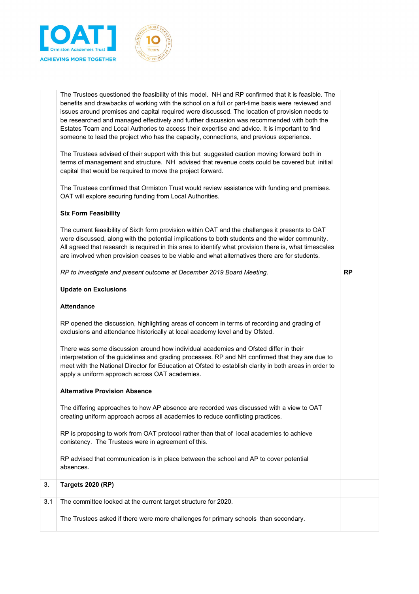



|     | The Trustees asked if there were more challenges for primary schools than secondary.                                                                                                                                                                                                                                                                                                                           |           |
|-----|----------------------------------------------------------------------------------------------------------------------------------------------------------------------------------------------------------------------------------------------------------------------------------------------------------------------------------------------------------------------------------------------------------------|-----------|
| 3.1 | The committee looked at the current target structure for 2020.                                                                                                                                                                                                                                                                                                                                                 |           |
| 3.  | <b>Targets 2020 (RP)</b>                                                                                                                                                                                                                                                                                                                                                                                       |           |
|     | RP advised that communication is in place between the school and AP to cover potential<br>absences.                                                                                                                                                                                                                                                                                                            |           |
|     | RP is proposing to work from OAT protocol rather than that of local academies to achieve<br>conistency. The Trustees were in agreement of this.                                                                                                                                                                                                                                                                |           |
|     | The differing approaches to how AP absence are recorded was discussed with a view to OAT<br>creating uniform approach across all academies to reduce conflicting practices.                                                                                                                                                                                                                                    |           |
|     | <b>Alternative Provision Absence</b>                                                                                                                                                                                                                                                                                                                                                                           |           |
|     | There was some discussion around how individual academies and Ofsted differ in their<br>interpretation of the guidelines and grading processes. RP and NH confirmed that they are due to<br>meet with the National Director for Education at Ofsted to establish clarity in both areas in order to<br>apply a uniform approach across OAT academies.                                                           |           |
|     | RP opened the discussion, highlighting areas of concern in terms of recording and grading of<br>exclusions and attendance historically at local academy level and by Ofsted.                                                                                                                                                                                                                                   |           |
|     | <b>Attendance</b>                                                                                                                                                                                                                                                                                                                                                                                              |           |
|     | <b>Update on Exclusions</b>                                                                                                                                                                                                                                                                                                                                                                                    |           |
|     | RP to investigate and present outcome at December 2019 Board Meeting.                                                                                                                                                                                                                                                                                                                                          | <b>RP</b> |
|     | The current feasibility of Sixth form provision within OAT and the challenges it presents to OAT<br>were discussed, along with the potential implications to both students and the wider community.<br>All agreed that research is required in this area to identify what provision there is, what timescales<br>are involved when provision ceases to be viable and what alternatives there are for students. |           |
|     | <b>Six Form Feasibility</b>                                                                                                                                                                                                                                                                                                                                                                                    |           |
|     | The Trustees confirmed that Ormiston Trust would review assistance with funding and premises.<br>OAT will explore securing funding from Local Authorities.                                                                                                                                                                                                                                                     |           |
|     | The Trustees advised of their support with this but suggested caution moving forward both in<br>terms of management and structure. NH advised that revenue costs could be covered but initial<br>capital that would be required to move the project forward.                                                                                                                                                   |           |
|     | be researched and managed effectively and further discussion was recommended with both the<br>Estates Team and Local Authories to access their expertise and advice. It is important to find<br>someone to lead the project who has the capacity, connections, and previous experience.                                                                                                                        |           |
|     | The Trustees questioned the feasibility of this model. NH and RP confirmed that it is feasible. The<br>benefits and drawbacks of working with the school on a full or part-time basis were reviewed and<br>issues around premises and capital required were discussed. The location of provision needs to                                                                                                      |           |
|     |                                                                                                                                                                                                                                                                                                                                                                                                                |           |